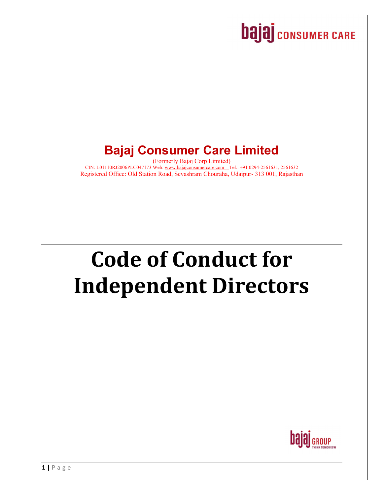## **bajaj** consumer CARE

### **Bajaj Consumer Care Limited**

(Formerly Bajaj Corp Limited) CIN: L01110RJ2006PLC047173 Web: www.bajajconsumercare.com Tel.: +91 0294-2561631, 2561632 Registered Office: Old Station Road, Sevashram Chouraha, Udaipur- 313 001, Rajasthan

# **Code of Conduct for Independent Directors**

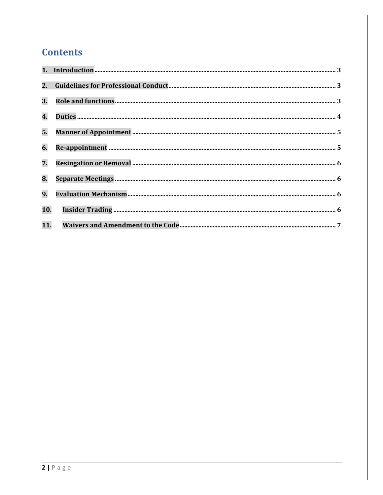#### **Contents**

| 3.                        |  |
|---------------------------|--|
| $\overline{\mathbf{4}}$ . |  |
| 5.                        |  |
| 6.                        |  |
| 7.                        |  |
| 8.                        |  |
| 9.                        |  |
| 10.                       |  |
| 11.                       |  |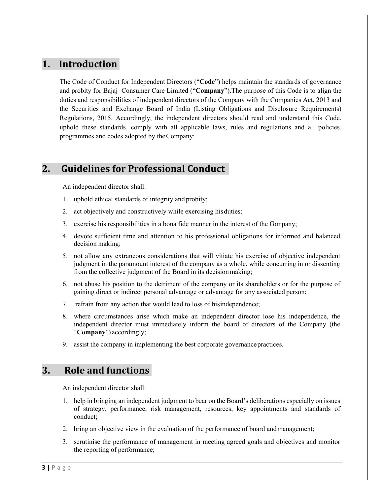#### 1. Introduction

The Code of Conduct for Independent Directors ("**Code**") helps maintain the standards of governance and probity for Bajaj Consumer Care Limited ("**Company**").The purpose of this Code is to align the duties and responsibilities of independent directors of the Company with the Companies Act, 2013 and the Securities and Exchange Board of India (Listing Obligations and Disclosure Requirements) Regulations, 2015. Accordingly, the independent directors should read and understand this Code, uphold these standards, comply with all applicable laws, rules and regulations and all policies, programmes and codes adopted by the Company:

#### **2. Guidelines for Professional Conduct**

An independent director shall:

- 1. uphold ethical standards of integrity and probity;
- 2. act objectively and constructively while exercising his duties;
- 3. exercise his responsibilities in a bona fide manner in the interest of the Company;
- 4. devote sufficient time and attention to his professional obligations for informed and balanced decision making;
- 5. not allow any extraneous considerations that will vitiate his exercise of objective independent judgment in the paramount interest of the company as a whole, while concurring in or dissenting from the collective judgment of the Board in its decision making;
- 6. not abuse his position to the detriment of the company or its shareholders or for the purpose of gaining direct or indirect personal advantage or advantage for any associated person;
- 7. refrain from any action that would lead to loss of his independence;
- 8. where circumstances arise which make an independent director lose his independence, the independent director must immediately inform the board of directors of the Company (the "**Company**") accordingly;
- 9. assist the company in implementing the best corporate governance practices.

#### **3. Role and functions**

An independent director shall:

- 1. help in bringing an independent judgment to bear on the Board's deliberations especially on issues of strategy, performance, risk management, resources, key appointments and standards of conduct;
- 2. bring an objective view in the evaluation of the performance of board and management;
- 3. scrutinise the performance of management in meeting agreed goals and objectives and monitor the reporting of performance;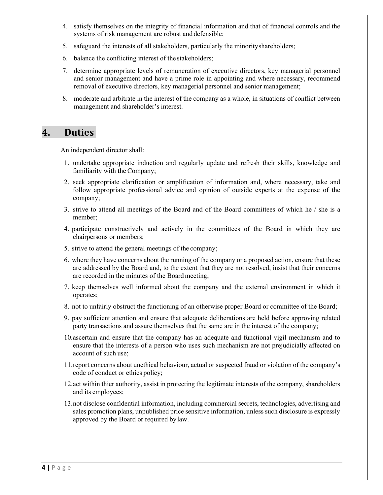- 4. satisfy themselves on the integrity of financial information and that of financial controls and the systems of risk management are robust and defensible;
- 5. safeguard the interests of all stakeholders, particularly the minority shareholders;
- 6. balance the conflicting interest of the stakeholders;
- 7. determine appropriate levels of remuneration of executive directors, key managerial personnel and senior management and have a prime role in appointing and where necessary, recommend removal of executive directors, key managerial personnel and senior management;
- 8. moderate and arbitrate in the interest of the company as a whole, in situations of conflict between management and shareholder's interest.

#### **4. Duties**

An independent director shall:

- 1. undertake appropriate induction and regularly update and refresh their skills, knowledge and familiarity with the Company;
- 2. seek appropriate clarification or amplification of information and, where necessary, take and follow appropriate professional advice and opinion of outside experts at the expense of the company;
- 3. strive to attend all meetings of the Board and of the Board committees of which he / she is a member;
- 4. participate constructively and actively in the committees of the Board in which they are chairpersons or members;
- 5. strive to attend the general meetings of the company;
- 6. where they have concerns about the running of the company or a proposed action, ensure that these are addressed by the Board and, to the extent that they are not resolved, insist that their concerns are recorded in the minutes of the Board meeting;
- 7. keep themselves well informed about the company and the external environment in which it operates;
- 8. not to unfairly obstruct the functioning of an otherwise proper Board or committee of the Board;
- 9. pay sufficient attention and ensure that adequate deliberations are held before approving related party transactions and assure themselves that the same are in the interest of the company;
- 10.ascertain and ensure that the company has an adequate and functional vigil mechanism and to ensure that the interests of a person who uses such mechanism are not prejudicially affected on account of such use;
- 11.report concerns about unethical behaviour, actual or suspected fraud or violation of the company's code of conduct or ethics policy;
- 12.act within thier authority, assist in protecting the legitimate interests of the company, shareholders and its employees;
- 13.not disclose confidential information, including commercial secrets, technologies, advertising and sales promotion plans, unpublished price sensitive information, unless such disclosure is expressly approved by the Board or required by law.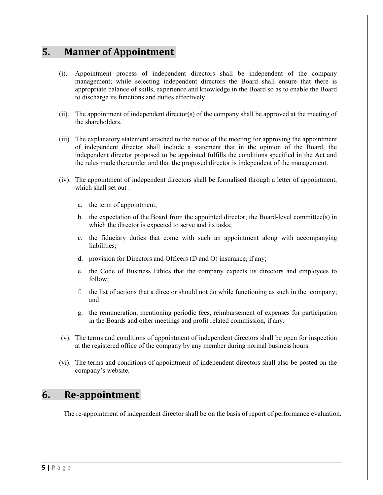#### **5. Manner of Appointment**

- (i). Appointment process of independent directors shall be independent of the company management; while selecting independent directors the Board shall ensure that there is appropriate balance of skills, experience and knowledge in the Board so as to enable the Board to discharge its functions and duties effectively.
- (ii). The appointment of independent director(s) of the company shall be approved at the meeting of the shareholders.
- (iii). The explanatory statement attached to the notice of the meeting for approving the appointment of independent director shall include a statement that in the opinion of the Board, the independent director proposed to be appointed fulfills the conditions specified in the Act and the rules made thereunder and that the proposed director is independent of the management.
- (iv). The appointment of independent directors shall be formalised through a letter of appointment, which shall set out :
	- a. the term of appointment;
	- b. the expectation of the Board from the appointed director; the Board-level committee(s) in which the director is expected to serve and its tasks;
	- c. the fiduciary duties that come with such an appointment along with accompanying liabilities;
	- d. provision for Directors and Officers (D and O) insurance, if any;
	- e. the Code of Business Ethics that the company expects its directors and employees to follow;
	- f. the list of actions that a director should not do while functioning as such in the company; and
	- g. the remuneration, mentioning periodic fees, reimbursement of expenses for participation in the Boards and other meetings and profit related commission, if any.
- (v). The terms and conditions of appointment of independent directors shall be open for inspection at the registered office of the company by any member during normal business hours.
- (vi). The terms and conditions of appointment of independent directors shall also be posted on the company's website.

#### **6. Re‐appointment**

The re-appointment of independent director shall be on the basis of report of performance evaluation.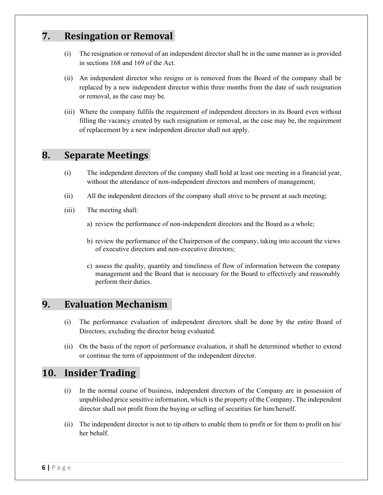#### **7. Resingation or Removal**

- (i) The resignation or removal of an independent director shall be in the same manner as is provided in sections 168 and 169 of the Act.
- (ii) An independent director who resigns or is removed from the Board of the company shall be replaced by a new independent director within three months from the date of such resignation or removal, as the case may be.
- (iii) Where the company fulfils the requirement of independent directors in its Board even without filling the vacancy created by such resignation or removal, as the case may be, the requirement of replacement by a new independent director shall not apply.

#### **8. Separate Meetings**

- (i) The independent directors of the company shall hold at least one meeting in a financial year, without the attendance of non-independent directors and members of management;
- (ii) All the independent directors of the company shall strive to be present at such meeting;
- (iii) The meeting shall:
	- a) review the performance of non-independent directors and the Board as a whole;
	- b) review the performance of the Chairperson of the company, taking into account the views of executive directors and non-executive directors;
	- c) assess the quality, quantity and timeliness of flow of information between the company management and the Board that is necessary for the Board to effectively and reasonably perform their duties.

#### **9. Evaluation Mechanism**

- (i) The performance evaluation of independent directors shall be done by the entire Board of Directors, excluding the director being evaluated.
- (ii) On the basis of the report of performance evaluation, it shall be determined whether to extend or continue the term of appointment of the independent director.

#### 10. **Insider** Trading

- (i) In the normal course of business, independent directors of the Company are in possession of unpublished price sensitive information, which is the property of the Company. The independent director shall not profit from the buying or selling of securities for him/herself.
- (ii) The independent director is not to tip others to enable them to profit or for them to profit on his/ her behalf.